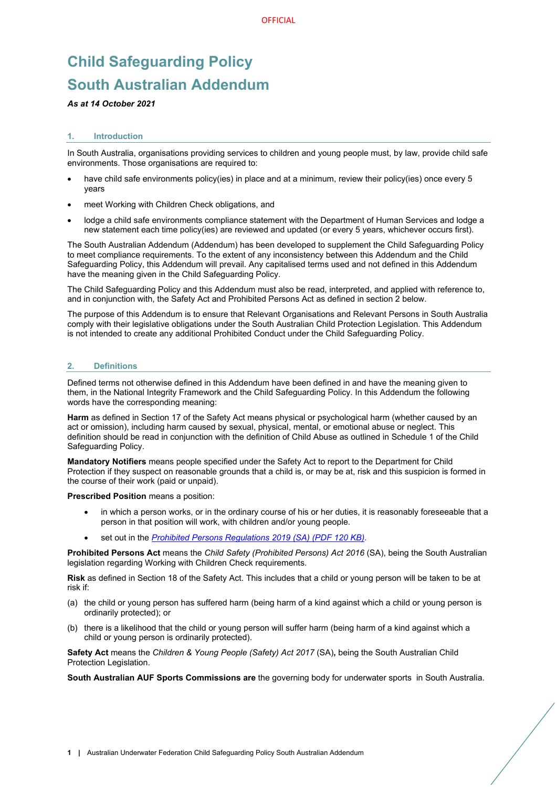# **Child Safeguarding Policy South Australian Addendum**

## *As at 14 October 2021*

### **1. Introduction**

In South Australia, organisations providing services to children and young people must, by law, provide child safe environments. Those organisations are required to:

- have child safe environments policy(ies) in place and at a minimum, review their policy(ies) once every 5 years
- meet [Working with Children Check](https://screening.sa.gov.au/types-of-check/working-with-children-check) obligations, and
- [lodge a child safe environments compliance statement](https://dhs.sa.gov.au/services/community-and-family-services/child-safe-environments/lodging-your-child-safe-environments-compliance-statement) with the Department of Human Services and lodge a new statement each time policy(ies) are reviewed and updated (or every 5 years, whichever occurs first).

The South Australian Addendum (Addendum) has been developed to supplement the Child Safeguarding Policy to meet compliance requirements. To the extent of any inconsistency between this Addendum and the Child Safeguarding Policy, this Addendum will prevail. Any capitalised terms used and not defined in this Addendum have the meaning given in the Child Safeguarding Policy.

The Child Safeguarding Policy and this Addendum must also be read, interpreted, and applied with reference to, and in conjunction with, the Safety Act and Prohibited Persons Act as defined in section 2 below.

The purpose of this Addendum is to ensure that Relevant Organisations and Relevant Persons in South Australia comply with their legislative obligations under the South Australian Child Protection Legislation. This Addendum is not intended to create any additional Prohibited Conduct under the Child Safeguarding Policy.

#### **2. Definitions**

Defined terms not otherwise defined in this Addendum have been defined in and have the meaning given to them, in the National Integrity Framework and the Child Safeguarding Policy. In this Addendum the following words have the corresponding meaning:

**Harm** as defined in Section 17 of the Safety Act means physical or psychological harm (whether caused by an act or omission), including harm caused by sexual, physical, mental, or emotional abuse or neglect. This definition should be read in conjunction with the definition of Child Abuse as outlined in Schedule 1 of the Child Safeguarding Policy.

**Mandatory Notifiers** means people specified under the Safety Act to report to the Department for Child Protection if they suspect on reasonable grounds that a child is, or may be at, risk and this suspicion is formed in the course of their work (paid or unpaid).

**Prescribed Position** means a position:

- in which a person works, or in the ordinary course of his or her duties, it is reasonably foreseeable that a person in that position will work, with children and/or young people.
- set out in the *Prohibited Persons [Regulations](https://www.legislation.sa.gov.au/LZ/C/R/CHILD%20SAFETY%20(PROHIBITED%20PERSONS)%20REGULATIONS%202019/CURRENT/2019.5.AUTH.PDF) 2019 (SA) (PDF 120 KB)*.

**Prohibited Persons Act** means the *Child Safety (Prohibited Persons) Act 2016* (SA), being the South Australian legislation regarding Working with Children Check requirements.

**Risk** as defined in Section 18 of the Safety Act. This includes that a child or young person will be taken to be at risk if:

- (a) the child or young person has suffered harm (being harm of a kind against which a child or young person is ordinarily protected); or
- (b) there is a likelihood that the child or young person will suffer harm (being harm of a kind against which a child or young person is ordinarily protected).

**Safety Act** means the *Children & Young People (Safety) Act 2017* (SA)**,** being the South Australian Child Protection Legislation.

**South Australian AUF Sports Commissions are** the governing body for underwater sports in South Australia.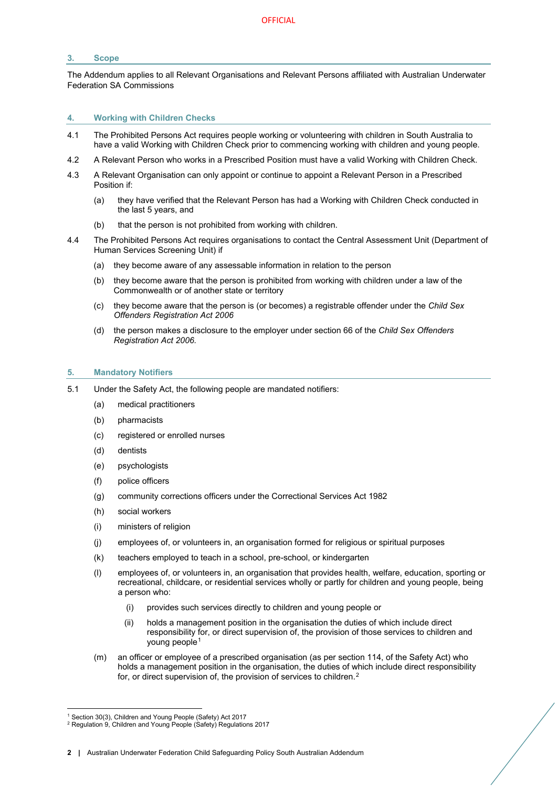## **3. Scope**

The Addendum applies to all Relevant Organisations and Relevant Persons affiliated with Australian Underwater Federation SA Commissions

#### **4. Working with Children Checks**

- 4.1 The Prohibited Persons Act requires people working or volunteering with children in South Australia to have a valid Working with Children Check prior to commencing working with children and young people.
- 4.2 A Relevant Person who works in a Prescribed Position must have a valid Working with Children Check.
- 4.3 A Relevant Organisation can only appoint or continue to appoint a Relevant Person in a Prescribed Position if:
	- (a) they have verified that the Relevant Person has had a Working with Children Check conducted in the last 5 years, and
	- (b) that the person is not prohibited from working with children.
- 4.4 The Prohibited Persons Act requires organisations to contact the Central Assessment Unit (Department of Human Services Screening Unit) if
	- (a) they become aware of any assessable information in relation to the person
	- (b) they become aware that the person is prohibited from working with children under a law of the Commonwealth or of another state or territory
	- (c) they become aware that the person is (or becomes) a registrable offender under the *Child Sex Offenders Registration Act 2006*
	- (d) the person makes a disclosure to the employer under section 66 of the *Child Sex Offenders Registration Act 2006.*

## **5. Mandatory Notifiers**

- 5.1 Under the Safety Act, the following people are mandated notifiers:
	- (a) medical practitioners
	- (b) pharmacists
	- (c) registered or enrolled nurses
	- (d) dentists
	- (e) psychologists
	- (f) police officers
	- (g) community corrections officers under the Correctional Services Act 1982
	- (h) social workers
	- (i) ministers of religion
	- (j) employees of, or volunteers in, an organisation formed for religious or spiritual purposes
	- (k) teachers employed to teach in a school, pre-school, or kindergarten
	- (l) employees of, or volunteers in, an organisation that provides health, welfare, education, sporting or recreational, childcare, or residential services wholly or partly for children and young people, being a person who:
		- (i) provides such services directly to children and young people or
		- (ii) holds a management position in the organisation the duties of which include direct responsibility for, or direct supervision of, the provision of those services to children and young people[1](#page-1-0)
	- (m) an officer or employee of a prescribed organisation (as per section 114, of the Safety Act) who holds a management position in the organisation, the duties of which include direct responsibility for, or direct supervision of, the provision of services to children.<sup>[2](#page-1-1)</sup>

**2 |** Australian Underwater Federation Child Safeguarding Policy South Australian Addendum

<sup>&</sup>lt;sup>1</sup> Section 30(3), Children and Young People (Safety) Act 2017

<span id="page-1-1"></span><span id="page-1-0"></span><sup>&</sup>lt;sup>2</sup> Regulation 9, Children and Young People (Safety) Regulations 2017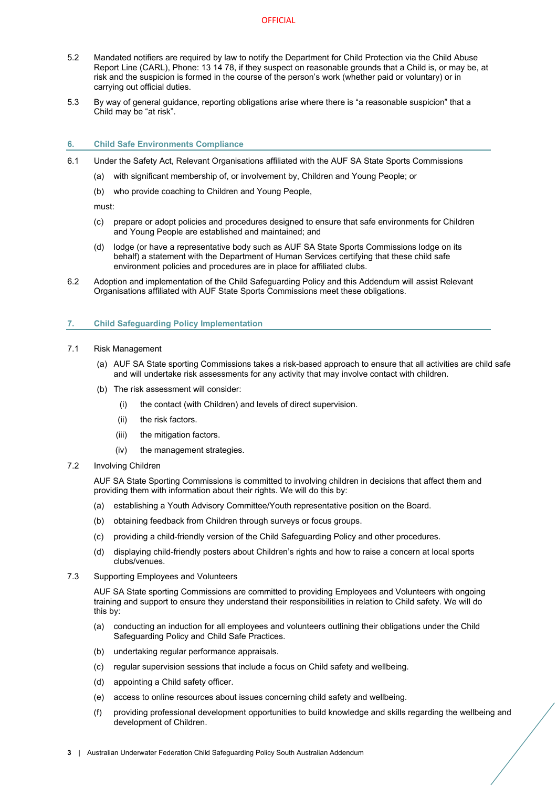- 5.2 Mandated notifiers are required by law to notify the Department for Child Protection via the Child Abuse Report Line (CARL), Phone: 13 14 78, if they suspect on reasonable grounds that a Child is, or may be, at risk and the suspicion is formed in the course of the person's work (whether paid or voluntary) or in carrying out official duties.
- 5.3 By way of general guidance, reporting obligations arise where there is "a reasonable suspicion" that a Child may be "at risk".

#### **6. Child Safe Environments Compliance**

- 6.1 Under the Safety Act, Relevant Organisations affiliated with the AUF SA State Sports Commissions
	- (a) with significant membership of, or involvement by, Children and Young People; or
	- (b) who provide coaching to Children and Young People,

must:

- (c) prepare or adopt policies and procedures designed to ensure that safe environments for Children and Young People are established and maintained; and
- (d) lodge (or have a representative body such as AUF SA State Sports Commissions lodge on its behalf) a statement with the Department of Human Services certifying that these child safe environment policies and procedures are in place for affiliated clubs.
- 6.2 Adoption and implementation of the Child Safeguarding Policy and this Addendum will assist Relevant Organisations affiliated with AUF State Sports Commissions meet these obligations.

## **7. Child Safeguarding Policy Implementation**

- 7.1 Risk Management
	- (a) AUF SA State sporting Commissions takes a risk-based approach to ensure that all activities are child safe and will undertake risk assessments for any activity that may involve contact with children.
	- (b) The risk assessment will consider:
		- (i) the contact (with Children) and levels of direct supervision.
		- (ii) the risk factors.
		- (iii) the mitigation factors.
		- (iv) the management strategies.
- 7.2 Involving Children

AUF SA State Sporting Commissions is committed to involving children in decisions that affect them and providing them with information about their rights. We will do this by:

- (a) establishing a Youth Advisory Committee/Youth representative position on the Board.
- (b) obtaining feedback from Children through surveys or focus groups.
- (c) providing a child-friendly version of the Child Safeguarding Policy and other procedures.
- (d) displaying child-friendly posters about Children's rights and how to raise a concern at local sports clubs/venues.
- 7.3 Supporting Employees and Volunteers

AUF SA State sporting Commissions are committed to providing Employees and Volunteers with ongoing training and support to ensure they understand their responsibilities in relation to Child safety. We will do this by:

- (a) conducting an induction for all employees and volunteers outlining their obligations under the Child Safeguarding Policy and Child Safe Practices.
- (b) undertaking regular performance appraisals.
- (c) regular supervision sessions that include a focus on Child safety and wellbeing.
- (d) appointing a Child safety officer.
- (e) access to online resources about issues concerning child safety and wellbeing.
- (f) providing professional development opportunities to build knowledge and skills regarding the wellbeing and development of Children.
- **3 |** Australian Underwater Federation Child Safeguarding Policy South Australian Addendum